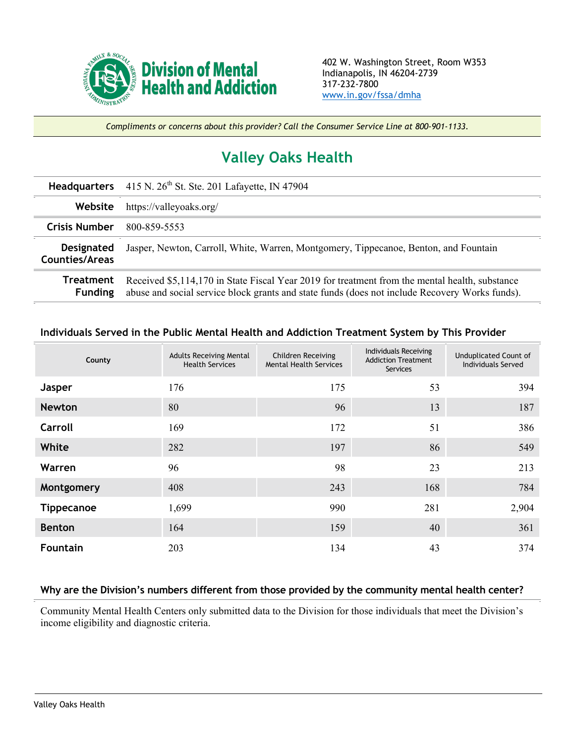

*Compliments or concerns about this provider? Call the Consumer Service Line at 800-901-1133.*

## **Valley Oaks Health**

|                                     | Headquarters 415 N. 26 <sup>th</sup> St. Ste. 201 Lafayette, IN 47904                                                                                                                            |  |  |  |
|-------------------------------------|--------------------------------------------------------------------------------------------------------------------------------------------------------------------------------------------------|--|--|--|
| Website                             | https://valleyoaks.org/                                                                                                                                                                          |  |  |  |
| <b>Crisis Number</b>                | 800-859-5553                                                                                                                                                                                     |  |  |  |
| <b>Designated</b><br>Counties/Areas | Jasper, Newton, Carroll, White, Warren, Montgomery, Tippecanoe, Benton, and Fountain                                                                                                             |  |  |  |
| Treatment<br><b>Funding</b>         | Received \$5,114,170 in State Fiscal Year 2019 for treatment from the mental health, substance<br>abuse and social service block grants and state funds (does not include Recovery Works funds). |  |  |  |

## **Individuals Served in the Public Mental Health and Addiction Treatment System by This Provider**

| County            | <b>Adults Receiving Mental</b><br><b>Health Services</b> | Children Receiving<br><b>Mental Health Services</b> | Individuals Receiving<br><b>Addiction Treatment</b><br><b>Services</b> | Unduplicated Count of<br>Individuals Served |
|-------------------|----------------------------------------------------------|-----------------------------------------------------|------------------------------------------------------------------------|---------------------------------------------|
| Jasper            | 176                                                      | 175                                                 | 53                                                                     | 394                                         |
| <b>Newton</b>     | 80                                                       | 96                                                  | 13                                                                     | 187                                         |
| Carroll           | 169                                                      | 172                                                 | 51                                                                     | 386                                         |
| White             | 282                                                      | 197                                                 | 86                                                                     | 549                                         |
| Warren            | 96                                                       | 98                                                  | 23                                                                     | 213                                         |
| Montgomery        | 408                                                      | 243                                                 | 168                                                                    | 784                                         |
| <b>Tippecanoe</b> | 1,699                                                    | 990                                                 | 281                                                                    | 2,904                                       |
| <b>Benton</b>     | 164                                                      | 159                                                 | 40                                                                     | 361                                         |
| <b>Fountain</b>   | 203                                                      | 134                                                 | 43                                                                     | 374                                         |

## **Why are the Division's numbers different from those provided by the community mental health center?**

Community Mental Health Centers only submitted data to the Division for those individuals that meet the Division's income eligibility and diagnostic criteria.